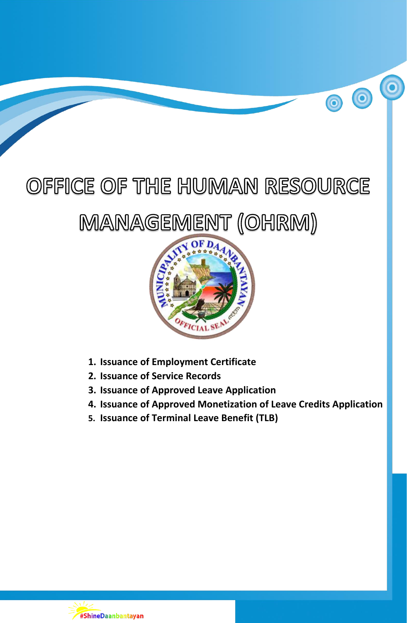# OFFICE OF THE HUMAN RESOURCE

00

## MANAGEMENT (OHRM)



- **1. Issuance of Employment Certificate**
- **2. Issuance of Service Records**
- **3. Issuance of Approved Leave Application**
- **4. Issuance of Approved Monetization of Leave Credits Application**
- **5. Issuance of Terminal Leave Benefit (TLB)**

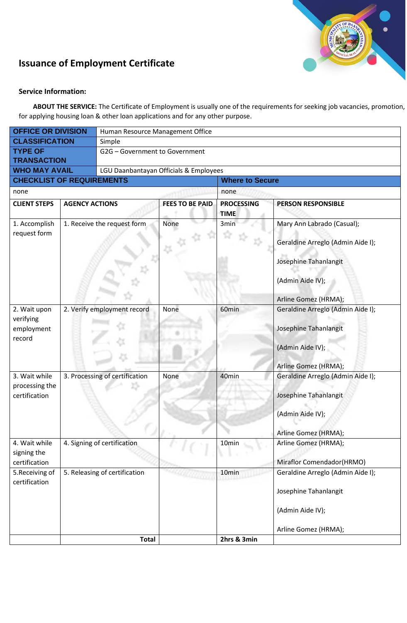

## **Issuance of Employment Certificate**

#### **Service Information:**

**ABOUT THE SERVICE:** The Certificate of Employment is usually one of the requirements for seeking job vacancies, promotion, for applying housing loan & other loan applications and for any other purpose.

| <b>OFFICE OR DIVISION</b>                         |                                                            | Human Resource Management Office       |                        |                                  |                                                                                                                                      |  |  |
|---------------------------------------------------|------------------------------------------------------------|----------------------------------------|------------------------|----------------------------------|--------------------------------------------------------------------------------------------------------------------------------------|--|--|
| <b>CLASSIFICATION</b>                             |                                                            | Simple                                 |                        |                                  |                                                                                                                                      |  |  |
| <b>TYPE OF</b><br><b>TRANSACTION</b>              |                                                            | G2G - Government to Government         |                        |                                  |                                                                                                                                      |  |  |
| <b>WHO MAY AVAIL</b>                              |                                                            | LGU Daanbantayan Officials & Employees |                        |                                  |                                                                                                                                      |  |  |
| <b>CHECKLIST OF REQUIREMENTS</b>                  |                                                            |                                        | <b>Where to Secure</b> |                                  |                                                                                                                                      |  |  |
| none                                              |                                                            |                                        |                        |                                  | none                                                                                                                                 |  |  |
| <b>CLIENT STEPS</b>                               | <b>AGENCY ACTIONS</b>                                      |                                        | <b>FEES TO BE PAID</b> | <b>PROCESSING</b><br><b>TIME</b> | <b>PERSON RESPONSIBLE</b>                                                                                                            |  |  |
| 1. Accomplish<br>request form                     | 1. Receive the request form<br>2. Verify employment record |                                        | None                   | 3min                             | Mary Ann Labrado (Casual);<br>Geraldine Arreglo (Admin Aide I);<br>Josephine Tahanlangit<br>(Admin Aide IV);<br>Arline Gomez (HRMA); |  |  |
| 2. Wait upon<br>verifying<br>employment<br>record |                                                            |                                        | None                   | 60min                            | Geraldine Arreglo (Admin Aide I);<br>Josephine Tahanlangit<br>(Admin Aide IV);<br>Arline Gomez (HRMA);                               |  |  |
| 3. Wait while<br>processing the<br>certification  | 3. Processing of certification                             |                                        | None                   | 40min                            | Geraldine Arreglo (Admin Aide I);<br>Josephine Tahanlangit<br>(Admin Aide IV);<br>Arline Gomez (HRMA);                               |  |  |
| 4. Wait while<br>signing the<br>certification     | 4. Signing of certification                                |                                        |                        | 10 <sub>min</sub>                | Arline Gomez (HRMA);<br>Miraflor Comendador(HRMO)                                                                                    |  |  |
| 5. Receiving of<br>certification                  | 5. Releasing of certification                              |                                        |                        | 10 <sub>min</sub>                | Geraldine Arreglo (Admin Aide I);<br>Josephine Tahanlangit<br>(Admin Aide IV);<br>Arline Gomez (HRMA);                               |  |  |
|                                                   |                                                            | <b>Total</b>                           |                        | 2hrs & 3min                      |                                                                                                                                      |  |  |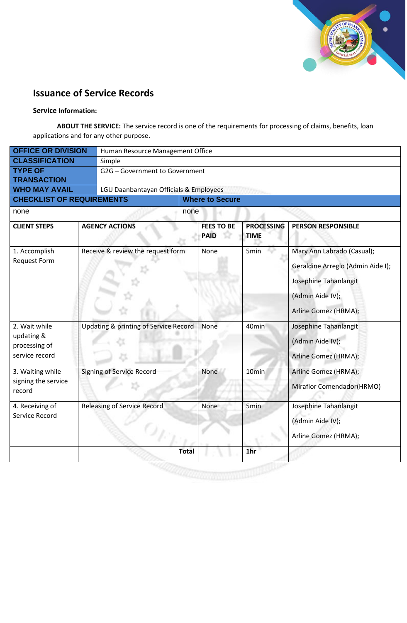

## **Issuance of Service Records**

#### **Service Information:**

**ABOUT THE SERVICE:** The service record is one of the requirements for processing of claims, benefits, loan applications and for any other purpose.

| <b>OFFICE OR DIVISION</b>                                      |  | Human Resource Management Office       |                        |                                  |                                  |                                                                                                                                      |  |
|----------------------------------------------------------------|--|----------------------------------------|------------------------|----------------------------------|----------------------------------|--------------------------------------------------------------------------------------------------------------------------------------|--|
| <b>CLASSIFICATION</b>                                          |  | Simple                                 |                        |                                  |                                  |                                                                                                                                      |  |
| <b>TYPE OF</b><br><b>TRANSACTION</b>                           |  | G2G - Government to Government         |                        |                                  |                                  |                                                                                                                                      |  |
| <b>WHO MAY AVAIL</b>                                           |  | LGU Daanbantayan Officials & Employees |                        |                                  |                                  |                                                                                                                                      |  |
| <b>CHECKLIST OF REQUIREMENTS</b>                               |  |                                        | <b>Where to Secure</b> |                                  |                                  |                                                                                                                                      |  |
| none                                                           |  |                                        | none                   |                                  |                                  |                                                                                                                                      |  |
| <b>CLIENT STEPS</b>                                            |  | <b>AGENCY ACTIONS</b>                  |                        | <b>FEES TO BE</b><br><b>PAID</b> | <b>PROCESSING</b><br><b>TIME</b> | <b>PERSON RESPONSIBLE</b>                                                                                                            |  |
| 1. Accomplish<br><b>Request Form</b>                           |  | Receive & review the request form      |                        | None                             | 5 <sub>min</sub>                 | Mary Ann Labrado (Casual);<br>Geraldine Arreglo (Admin Aide I);<br>Josephine Tahanlangit<br>(Admin Aide IV);<br>Arline Gomez (HRMA); |  |
| 2. Wait while<br>updating &<br>processing of<br>service record |  | Updating & printing of Service Record  |                        | None                             | 40min                            | Josephine Tahanlangit<br>(Admin Aide IV);<br>Arline Gomez (HRMA);                                                                    |  |
| 3. Waiting while<br>signing the service<br>record              |  | <b>Signing of Service Record</b>       |                        | None                             | 10min                            | Arline Gomez (HRMA);<br>Miraflor Comendador(HRMO)                                                                                    |  |
| 4. Receiving of<br>Service Record                              |  | <b>Releasing of Service Record</b>     |                        | None                             | 5 <sub>min</sub>                 | Josephine Tahanlangit<br>(Admin Aide IV);<br>Arline Gomez (HRMA);                                                                    |  |
|                                                                |  |                                        | <b>Total</b>           |                                  | 1 <sub>hr</sub>                  |                                                                                                                                      |  |
|                                                                |  |                                        |                        |                                  |                                  |                                                                                                                                      |  |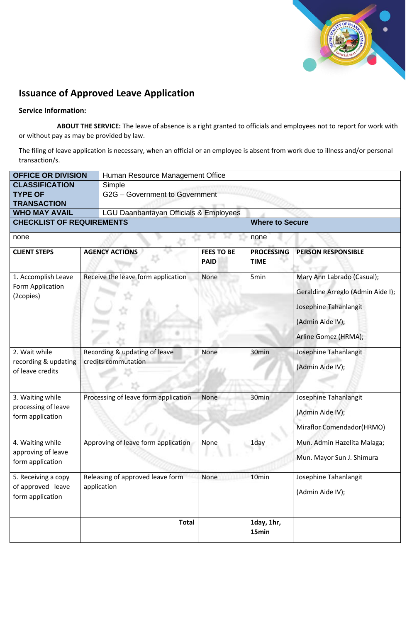

## **Issuance of Approved Leave Application**

#### **Service Information:**

**ABOUT THE SERVICE:** The leave of absence is a right granted to officials and employees not to report for work with or without pay as may be provided by law.

The filing of leave application is necessary, when an official or an employee is absent from work due to illness and/or personal transaction/s.

| <b>OFFICE OR DIVISION</b>                                    |  | Human Resource Management Office                     |                                  |                                  |                                                                                                                                      |  |  |  |
|--------------------------------------------------------------|--|------------------------------------------------------|----------------------------------|----------------------------------|--------------------------------------------------------------------------------------------------------------------------------------|--|--|--|
| <b>CLASSIFICATION</b>                                        |  | Simple                                               |                                  |                                  |                                                                                                                                      |  |  |  |
| <b>TYPE OF</b>                                               |  | G2G - Government to Government                       |                                  |                                  |                                                                                                                                      |  |  |  |
| <b>TRANSACTION</b>                                           |  |                                                      |                                  |                                  |                                                                                                                                      |  |  |  |
| <b>WHO MAY AVAIL</b>                                         |  | LGU Daanbantayan Officials & Employees               |                                  |                                  |                                                                                                                                      |  |  |  |
| <b>CHECKLIST OF REQUIREMENTS</b>                             |  |                                                      |                                  | <b>Where to Secure</b>           |                                                                                                                                      |  |  |  |
| none                                                         |  |                                                      |                                  | none                             |                                                                                                                                      |  |  |  |
| <b>CLIENT STEPS</b>                                          |  | <b>AGENCY ACTIONS</b>                                | <b>FEES TO BE</b><br><b>PAID</b> | <b>PROCESSING</b><br><b>TIME</b> | <b>PERSON RESPONSIBLE</b>                                                                                                            |  |  |  |
| 1. Accomplish Leave<br>Form Application<br>(2copies)         |  | Receive the leave form application                   | None                             | 5min                             | Mary Ann Labrado (Casual);<br>Geraldine Arreglo (Admin Aide I);<br>Josephine Tahanlangit<br>(Admin Aide IV);<br>Arline Gomez (HRMA); |  |  |  |
| 2. Wait while<br>recording & updating<br>of leave credits    |  | Recording & updating of leave<br>credits commutation | None                             | 30 <sub>min</sub>                | Josephine Tahanlangit<br>(Admin Aide IV);                                                                                            |  |  |  |
| 3. Waiting while<br>processing of leave<br>form application  |  | Processing of leave form application                 | None                             | 30min                            | Josephine Tahanlangit<br>(Admin Aide IV);<br>Miraflor Comendador(HRMO)                                                               |  |  |  |
| 4. Waiting while<br>approving of leave<br>form application   |  | Approving of leave form application                  | None                             | 1day                             | Mun. Admin Hazelita Malaga;<br>Mun. Mayor Sun J. Shimura                                                                             |  |  |  |
| 5. Receiving a copy<br>of approved leave<br>form application |  | Releasing of approved leave form<br>application      | None                             | 10 <sub>min</sub>                | Josephine Tahanlangit<br>(Admin Aide IV);                                                                                            |  |  |  |
|                                                              |  | <b>Total</b>                                         |                                  | 1day, 1hr,<br>15min              |                                                                                                                                      |  |  |  |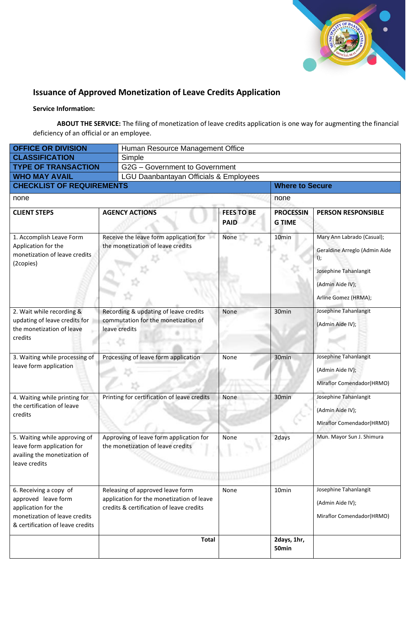

## **Issuance of Approved Monetization of Leave Credits Application**

#### **Service Information:**

**ABOUT THE SERVICE:** The filing of monetization of leave credits application is one way for augmenting the financial deficiency of an official or an employee.

| <b>OFFICE OR DIVISION</b>                                                                                                                 |  | Human Resource Management Office                                                                                          |                                  |                                   |                                                                                                                                         |  |  |
|-------------------------------------------------------------------------------------------------------------------------------------------|--|---------------------------------------------------------------------------------------------------------------------------|----------------------------------|-----------------------------------|-----------------------------------------------------------------------------------------------------------------------------------------|--|--|
| <b>CLASSIFICATION</b>                                                                                                                     |  | Simple                                                                                                                    |                                  |                                   |                                                                                                                                         |  |  |
| <b>TYPE OF TRANSACTION</b>                                                                                                                |  | G2G - Government to Government                                                                                            |                                  |                                   |                                                                                                                                         |  |  |
| <b>WHO MAY AVAIL</b>                                                                                                                      |  | LGU Daanbantayan Officials & Employees                                                                                    |                                  |                                   |                                                                                                                                         |  |  |
| <b>CHECKLIST OF REQUIREMENTS</b>                                                                                                          |  |                                                                                                                           |                                  | <b>Where to Secure</b>            |                                                                                                                                         |  |  |
| none                                                                                                                                      |  |                                                                                                                           |                                  | none                              |                                                                                                                                         |  |  |
| <b>CLIENT STEPS</b>                                                                                                                       |  | <b>AGENCY ACTIONS</b>                                                                                                     | <b>FEES TO BE</b><br><b>PAID</b> | <b>PROCESSIN</b><br><b>G TIME</b> | <b>PERSON RESPONSIBLE</b>                                                                                                               |  |  |
| 1. Accomplish Leave Form<br>Application for the<br>monetization of leave credits<br>(2copies)                                             |  | Receive the leave form application for<br>the monetization of leave credits                                               | None                             | 10 <sub>min</sub>                 | Mary Ann Labrado (Casual);<br>Geraldine Arreglo (Admin Aide<br>I);<br>Josephine Tahanlangit<br>(Admin Aide IV);<br>Arline Gomez (HRMA); |  |  |
| 2. Wait while recording &<br>updating of leave credits for<br>the monetization of leave<br>credits                                        |  | Recording & updating of leave credits<br>commutation for the monetization of<br>leave credits                             | None                             | 30min                             | Josephine Tahanlangit<br>(Admin Aide IV);                                                                                               |  |  |
| 3. Waiting while processing of<br>leave form application                                                                                  |  | Processing of leave form application                                                                                      | None                             | 30 <sub>min</sub>                 | Josephine Tahanlangit<br>(Admin Aide IV);<br>Miraflor Comendador(HRMO)                                                                  |  |  |
| 4. Waiting while printing for<br>the certification of leave<br>credits                                                                    |  | Printing for certification of leave credits                                                                               | None                             | 30 <sub>min</sub>                 | Josephine Tahanlangit<br>(Admin Aide IV);<br>Miraflor Comendador(HRMO)                                                                  |  |  |
| 5. Waiting while approving of<br>leave form application for<br>availing the monetization of<br>leave credits                              |  | Approving of leave form application for<br>the monetization of leave credits                                              | None                             | 2days                             | Mun. Mayor Sun J. Shimura                                                                                                               |  |  |
| 6. Receiving a copy of<br>approved leave form<br>application for the<br>monetization of leave credits<br>& certification of leave credits |  | Releasing of approved leave form<br>application for the monetization of leave<br>credits & certification of leave credits | None                             | 10 <sub>min</sub>                 | Josephine Tahanlangit<br>(Admin Aide IV);<br>Miraflor Comendador(HRMO)                                                                  |  |  |
|                                                                                                                                           |  | <b>Total</b>                                                                                                              |                                  | 2days, 1hr,<br>50 <sub>min</sub>  |                                                                                                                                         |  |  |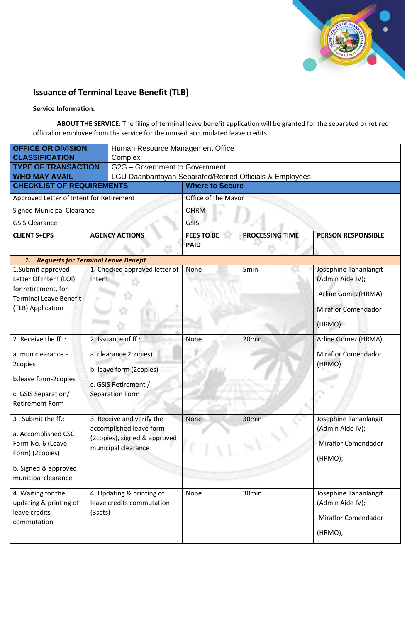

## **Issuance of Terminal Leave Benefit (TLB)**

#### **Service Information:**

**ABOUT THE SERVICE:** The filing of terminal leave benefit application will be granted for the separated or retired official or employee from the service for the unused accumulated leave credits

| <b>OFFICE OR DIVISION</b>                                                                                                        |         | Human Resource Management Office                                                                                   |                                  |                        |                                                                                                         |  |  |
|----------------------------------------------------------------------------------------------------------------------------------|---------|--------------------------------------------------------------------------------------------------------------------|----------------------------------|------------------------|---------------------------------------------------------------------------------------------------------|--|--|
| <b>CLASSIFICATION</b>                                                                                                            |         | Complex                                                                                                            |                                  |                        |                                                                                                         |  |  |
| <b>TYPE OF TRANSACTION</b>                                                                                                       |         | G2G - Government to Government                                                                                     |                                  |                        |                                                                                                         |  |  |
| <b>WHO MAY AVAIL</b>                                                                                                             |         | LGU Daanbantayan Separated/Retired Officials & Employees                                                           |                                  |                        |                                                                                                         |  |  |
| <b>CHECKLIST OF REQUIREMENTS</b>                                                                                                 |         | <b>Where to Secure</b>                                                                                             |                                  |                        |                                                                                                         |  |  |
| Approved Letter of Intent for Retirement                                                                                         |         |                                                                                                                    | Office of the Mayor              |                        |                                                                                                         |  |  |
| <b>Signed Municipal Clearance</b>                                                                                                |         |                                                                                                                    | <b>OHRM</b>                      |                        |                                                                                                         |  |  |
| <b>GSIS Clearance</b>                                                                                                            |         |                                                                                                                    | GSIS                             |                        |                                                                                                         |  |  |
| <b>CLIENT S+EPS</b>                                                                                                              |         | <b>AGENCY ACTIONS</b>                                                                                              | <b>FEES TO BE</b><br><b>PAID</b> | <b>PROCESSING TIME</b> | <b>PERSON RESPONSIBLE</b>                                                                               |  |  |
| 1. Requests for Terminal Leave Benefit                                                                                           |         |                                                                                                                    |                                  |                        |                                                                                                         |  |  |
| 1.Submit approved<br>Letter Of Intent (LOI)<br>for retirement, for<br><b>Terminal Leave Benefit</b><br>(TLB) Application         | intent  | 1. Checked approved letter of                                                                                      | None                             | 5min                   | Josephine Tahanlangit<br>(Admin Aide IV);<br>Arline Gomez(HRMA)<br><b>Miraflor Comendador</b><br>(HRMO) |  |  |
| 2. Receive the ff.:<br>a. mun clearance -<br>2copies<br>b.leave form-2copies<br>c. GSIS Separation/<br><b>Retirement Form</b>    |         | 2. Issuance of ff.:<br>a. clearance 2copies)<br>b. leave form (2copies)<br>c. GSIS Retirement /<br>Separation Form | None                             | 20min                  | Arline Gomez (HRMA)<br><b>Miraflor Comendador</b><br>(HRMO)                                             |  |  |
| 3. Submit the ff.:<br>a. Accomplished CSC<br>Form No. 6 (Leave<br>Form) (2copies)<br>b. Signed & approved<br>municipal clearance |         | 3. Receive and verify the<br>accomplished leave form<br>(2copies), signed & approved<br>municipal clearance        | None                             | 30 <sub>min</sub>      | Josephine Tahanlangit<br>(Admin Aide IV);<br>Miraflor Comendador<br>(HRMO);                             |  |  |
| 4. Waiting for the<br>updating & printing of<br>leave credits<br>commutation                                                     | (3sets) | 4. Updating & printing of<br>leave credits commutation                                                             | None                             | 30min                  | Josephine Tahanlangit<br>(Admin Aide IV);<br><b>Miraflor Comendador</b><br>(HRMO);                      |  |  |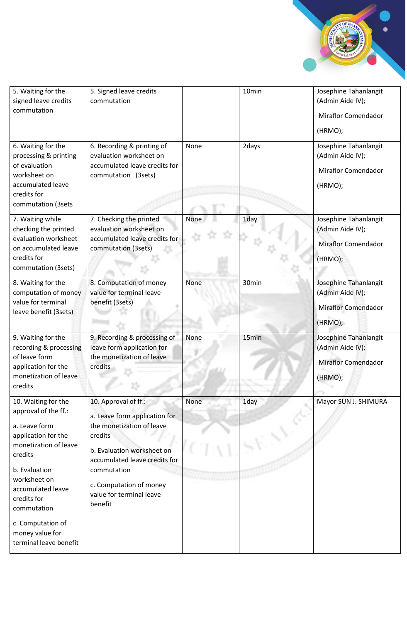

| 5. Waiting for the<br>signed leave credits<br>commutation<br>6. Waiting for the<br>processing & printing<br>of evaluation<br>worksheet on<br>accumulated leave<br>credits for<br>commutation (3sets                                                                           | 5. Signed leave credits<br>commutation<br>6. Recording & printing of<br>evaluation worksheet on<br>accumulated leave credits for<br>commutation (3sets)                                                                                       | None | 10min<br>2days | Josephine Tahanlangit<br>(Admin Aide IV);<br><b>Miraflor Comendador</b><br>(HRMO);<br>Josephine Tahanlangit<br>(Admin Aide IV);<br><b>Miraflor Comendador</b><br>(HRMO); |
|-------------------------------------------------------------------------------------------------------------------------------------------------------------------------------------------------------------------------------------------------------------------------------|-----------------------------------------------------------------------------------------------------------------------------------------------------------------------------------------------------------------------------------------------|------|----------------|--------------------------------------------------------------------------------------------------------------------------------------------------------------------------|
| 7. Waiting while<br>checking the printed<br>evaluation worksheet<br>on accumulated leave<br>credits for<br>commutation (3sets)                                                                                                                                                | 7. Checking the printed<br>evaluation worksheet on<br>accumulated leave credits for<br>commutation (3sets)                                                                                                                                    | None | 1day           | Josephine Tahanlangit<br>(Admin Aide IV);<br><b>Miraflor Comendador</b><br>(HRMO);                                                                                       |
| 8. Waiting for the<br>computation of money<br>value for terminal<br>leave benefit (3sets)                                                                                                                                                                                     | 8. Computation of money<br>value for terminal leave<br>benefit (3sets)                                                                                                                                                                        | None | 30min          | Josephine Tahanlangit<br>(Admin Aide IV);<br><b>Miraflor Comendador</b><br>(HRMO);                                                                                       |
| 9. Waiting for the<br>recording & processing<br>of leave form<br>application for the<br>monetization of leave<br>credits                                                                                                                                                      | 9. Recording & processing of<br>leave form application for<br>the monetization of leave<br>credits                                                                                                                                            | None | 15min          | Josephine Tahanlangit<br>(Admin Aide IV);<br><b>Miraflor Comendador</b><br>(HRMO);                                                                                       |
| 10. Waiting for the<br>approval of the ff.:<br>a. Leave form<br>application for the<br>monetization of leave<br>credits<br>b. Evaluation<br>worksheet on<br>accumulated leave<br>credits for<br>commutation<br>c. Computation of<br>money value for<br>terminal leave benefit | 10. Approval of ff.:<br>a. Leave form application for<br>the monetization of leave<br>credits<br>b. Evaluation worksheet on<br>accumulated leave credits for<br>commutation<br>c. Computation of money<br>value for terminal leave<br>benefit | None | 1day           | Mayor SUN J. SHIMURA                                                                                                                                                     |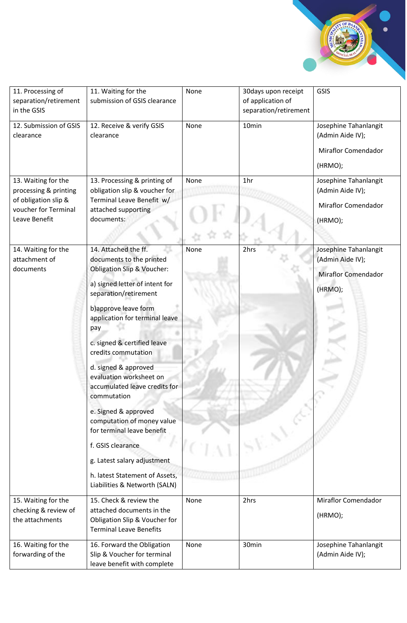

| 11. Processing of<br>separation/retirement<br>in the GSIS                                                     | 11. Waiting for the<br>submission of GSIS clearance                                                                                                                                                                                                                                                                                                                                                                                                                                                                                                                                        | None | 30days upon receipt<br>of application of<br>separation/retirement | GSIS                                                                               |
|---------------------------------------------------------------------------------------------------------------|--------------------------------------------------------------------------------------------------------------------------------------------------------------------------------------------------------------------------------------------------------------------------------------------------------------------------------------------------------------------------------------------------------------------------------------------------------------------------------------------------------------------------------------------------------------------------------------------|------|-------------------------------------------------------------------|------------------------------------------------------------------------------------|
| 12. Submission of GSIS<br>clearance                                                                           | 12. Receive & verify GSIS<br>clearance                                                                                                                                                                                                                                                                                                                                                                                                                                                                                                                                                     | None | 10min                                                             | Josephine Tahanlangit<br>(Admin Aide IV);<br><b>Miraflor Comendador</b><br>(HRMO); |
| 13. Waiting for the<br>processing & printing<br>of obligation slip &<br>voucher for Terminal<br>Leave Benefit | 13. Processing & printing of<br>obligation slip & voucher for<br>Terminal Leave Benefit w/<br>attached supporting<br>documents:                                                                                                                                                                                                                                                                                                                                                                                                                                                            | None | 1hr                                                               | Josephine Tahanlangit<br>(Admin Aide IV);<br><b>Miraflor Comendador</b><br>(HRMO); |
| 14. Waiting for the<br>attachment of<br>documents                                                             | 14. Attached the ff.<br>documents to the printed<br><b>Obligation Slip &amp; Voucher:</b><br>a) signed letter of intent for<br>separation/retirement<br>b) approve leave form<br>application for terminal leave<br>pay<br>c. signed & certified leave<br>credits commutation<br>d. signed & approved<br>evaluation worksheet on<br>accumulated leave credits for<br>commutation<br>e. Signed & approved<br>computation of money value<br>for terminal leave benefit<br>f. GSIS clearance<br>g. Latest salary adjustment<br>h. latest Statement of Assets,<br>Liabilities & Networth (SALN) | None | 2hrs                                                              | Josephine Tahanlangit<br>(Admin Aide IV);<br><b>Miraflor Comendador</b><br>(HRMO); |
| 15. Waiting for the<br>checking & review of<br>the attachments                                                | 15. Check & review the<br>attached documents in the<br>Obligation Slip & Voucher for<br><b>Terminal Leave Benefits</b>                                                                                                                                                                                                                                                                                                                                                                                                                                                                     | None | 2hrs                                                              | <b>Miraflor Comendador</b><br>(HRMO);                                              |
| 16. Waiting for the<br>forwarding of the                                                                      | 16. Forward the Obligation<br>Slip & Voucher for terminal<br>leave benefit with complete                                                                                                                                                                                                                                                                                                                                                                                                                                                                                                   | None | 30min                                                             | Josephine Tahanlangit<br>(Admin Aide IV);                                          |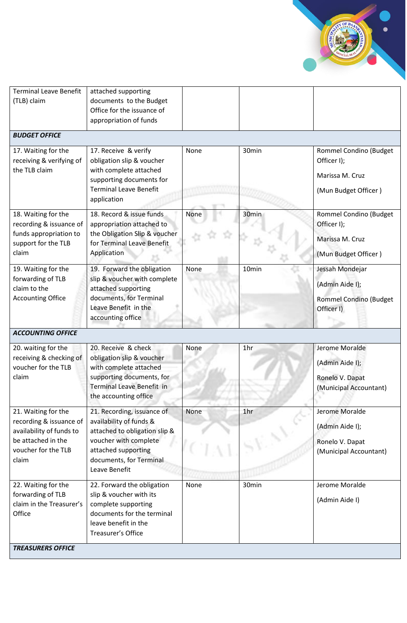

|                                                                                                                                  | application                                                                                                                                                                        |      |                 |                                                                                   |
|----------------------------------------------------------------------------------------------------------------------------------|------------------------------------------------------------------------------------------------------------------------------------------------------------------------------------|------|-----------------|-----------------------------------------------------------------------------------|
| 18. Waiting for the<br>recording & issuance of                                                                                   | 18. Record & issue funds<br>appropriation attached to                                                                                                                              | None | 30min           | Rommel Condino (Budget<br>Officer I);                                             |
| funds appropriation to                                                                                                           | the Obligation Slip & voucher                                                                                                                                                      |      |                 | Marissa M. Cruz                                                                   |
| support for the TLB<br>claim                                                                                                     | for Terminal Leave Benefit<br>Application                                                                                                                                          |      |                 | (Mun Budget Officer)                                                              |
| 19. Waiting for the<br>forwarding of TLB<br>claim to the<br><b>Accounting Office</b>                                             | 19. Forward the obligation<br>slip & voucher with complete<br>attached supporting<br>documents, for Terminal<br>Leave Benefit in the<br>accounting office                          | None | 10min           | Jessah Mondejar<br>(Admin Aide I);<br><b>Rommel Condino (Budget</b><br>Officer I) |
| <b>ACCOUNTING OFFICE</b>                                                                                                         |                                                                                                                                                                                    |      |                 |                                                                                   |
|                                                                                                                                  |                                                                                                                                                                                    |      |                 |                                                                                   |
| 20. waiting for the<br>receiving & checking of<br>voucher for the TLB<br>claim                                                   | 20. Receive & check<br>obligation slip & voucher<br>with complete attached<br>supporting documents, for<br>Terminal Leave Benefit in<br>the accounting office                      | None | 1 <sub>hr</sub> | Jerome Moralde<br>(Admin Aide I);<br>Ronelo V. Dapat<br>(Municipal Accountant)    |
| 21. Waiting for the<br>recording & issuance of<br>availability of funds to<br>be attached in the<br>voucher for the TLB<br>claim | 21. Recording, issuance of<br>availability of funds &<br>attached to obligation slip &<br>voucher with complete<br>attached supporting<br>documents, for Terminal<br>Leave Benefit | None | 1hr             | Jerome Moralde<br>(Admin Aide I);<br>Ronelo V. Dapat<br>(Municipal Accountant)    |
| 22. Waiting for the<br>forwarding of TLB<br>claim in the Treasurer's<br>Office<br><b>TREASURERS OFFICE</b>                       | 22. Forward the obligation<br>slip & voucher with its<br>complete supporting<br>documents for the terminal<br>leave benefit in the<br>Treasurer's Office                           | None | 30min           | Jerome Moralde<br>(Admin Aide I)                                                  |